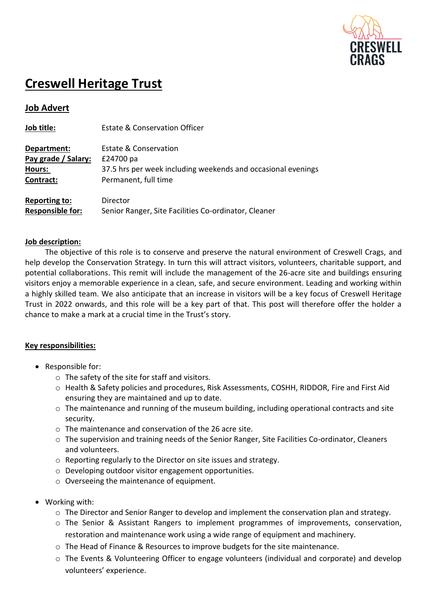

# **Creswell Heritage Trust**

## **Job Advert**

| Job title:                                      | <b>Estate &amp; Conservation Officer</b>                                  |
|-------------------------------------------------|---------------------------------------------------------------------------|
| Department:                                     | Estate & Conservation                                                     |
| Pay grade / Salary:<br>Hours:                   | £24700 pa<br>37.5 hrs per week including weekends and occasional evenings |
| Contract:                                       | Permanent, full time                                                      |
| <b>Reporting to:</b><br><b>Responsible for:</b> | Director<br>Senior Ranger, Site Facilities Co-ordinator, Cleaner          |

## **Job description:**

The objective of this role is to conserve and preserve the natural environment of Creswell Crags, and help develop the Conservation Strategy. In turn this will attract visitors, volunteers, charitable support, and potential collaborations. This remit will include the management of the 26-acre site and buildings ensuring visitors enjoy a memorable experience in a clean, safe, and secure environment. Leading and working within a highly skilled team. We also anticipate that an increase in visitors will be a key focus of Creswell Heritage Trust in 2022 onwards, and this role will be a key part of that. This post will therefore offer the holder a chance to make a mark at a crucial time in the Trust's story.

## **Key responsibilities:**

- Responsible for:
	- o The safety of the site for staff and visitors.
	- o Health & Safety policies and procedures, Risk Assessments, COSHH, RIDDOR, Fire and First Aid ensuring they are maintained and up to date.
	- o The maintenance and running of the museum building, including operational contracts and site security.
	- o The maintenance and conservation of the 26 acre site.
	- o The supervision and training needs of the Senior Ranger, Site Facilities Co-ordinator, Cleaners and volunteers.
	- o Reporting regularly to the Director on site issues and strategy.
	- o Developing outdoor visitor engagement opportunities.
	- o Overseeing the maintenance of equipment.
- Working with:
	- o The Director and Senior Ranger to develop and implement the conservation plan and strategy.
	- o The Senior & Assistant Rangers to implement programmes of improvements, conservation, restoration and maintenance work using a wide range of equipment and machinery.
	- o The Head of Finance & Resources to improve budgets for the site maintenance.
	- o The Events & Volunteering Officer to engage volunteers (individual and corporate) and develop volunteers' experience.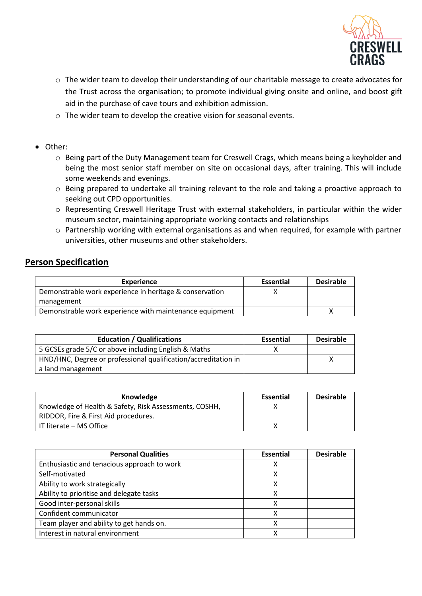

- o The wider team to develop their understanding of our charitable message to create advocates for the Trust across the organisation; to promote individual giving onsite and online, and boost gift aid in the purchase of cave tours and exhibition admission.
- o The wider team to develop the creative vision for seasonal events.
- Other:
	- o Being part of the Duty Management team for Creswell Crags, which means being a keyholder and being the most senior staff member on site on occasional days, after training. This will include some weekends and evenings.
	- o Being prepared to undertake all training relevant to the role and taking a proactive approach to seeking out CPD opportunities.
	- o Representing Creswell Heritage Trust with external stakeholders, in particular within the wider museum sector, maintaining appropriate working contacts and relationships
	- o Partnership working with external organisations as and when required, for example with partner universities, other museums and other stakeholders.

## **Person Specification**

| Experience                                              | <b>Essential</b> | <b>Desirable</b> |
|---------------------------------------------------------|------------------|------------------|
| Demonstrable work experience in heritage & conservation |                  |                  |
| management                                              |                  |                  |
| Demonstrable work experience with maintenance equipment |                  |                  |

| <b>Education / Qualifications</b>                              | <b>Essential</b> | <b>Desirable</b> |
|----------------------------------------------------------------|------------------|------------------|
| 5 GCSEs grade 5/C or above including English & Maths           |                  |                  |
| HND/HNC, Degree or professional qualification/accreditation in |                  |                  |
| a land management                                              |                  |                  |

| Knowledge                                              | Essential | <b>Desirable</b> |
|--------------------------------------------------------|-----------|------------------|
| Knowledge of Health & Safety, Risk Assessments, COSHH, |           |                  |
| RIDDOR, Fire & First Aid procedures.                   |           |                  |
| IT literate – MS Office                                |           |                  |

| <b>Personal Qualities</b>                   | <b>Essential</b> | <b>Desirable</b> |
|---------------------------------------------|------------------|------------------|
| Enthusiastic and tenacious approach to work | х                |                  |
| Self-motivated                              | x                |                  |
| Ability to work strategically               | x                |                  |
| Ability to prioritise and delegate tasks    | x                |                  |
| Good inter-personal skills                  |                  |                  |
| Confident communicator                      |                  |                  |
| Team player and ability to get hands on.    |                  |                  |
| Interest in natural environment             |                  |                  |